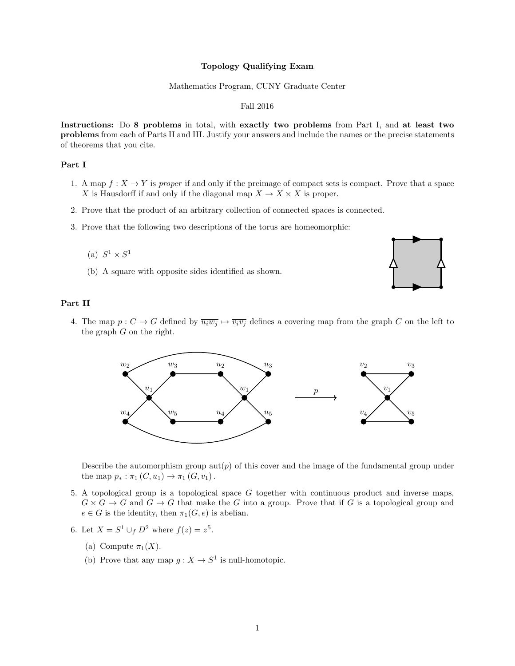# Topology Qualifying Exam

#### Mathematics Program, CUNY Graduate Center

## Fall 2016

Instructions: Do 8 problems in total, with exactly two problems from Part I, and at least two problems from each of Parts II and III. Justify your answers and include the names or the precise statements of theorems that you cite.

# Part I

- 1. A map  $f: X \to Y$  is proper if and only if the preimage of compact sets is compact. Prove that a space X is Hausdorff if and only if the diagonal map  $X \to X \times X$  is proper.
- 2. Prove that the product of an arbitrary collection of connected spaces is connected.
- 3. Prove that the following two descriptions of the torus are homeomorphic:
	- (a)  $S^1 \times S^1$
	- (b) A square with opposite sides identified as shown.



# Part II

4. The map  $p: C \to G$  defined by  $\overline{u_i w_j} \mapsto \overline{v_i v_j}$  defines a covering map from the graph C on the left to the graph  $G$  on the right.



Describe the automorphism group aut( $p$ ) of this cover and the image of the fundamental group under the map  $p_* : \pi_1(C, u_1) \to \pi_1(G, v_1)$ .

- 5. A topological group is a topological space G together with continuous product and inverse maps,  $G \times G \to G$  and  $G \to G$  that make the G into a group. Prove that if G is a topological group and  $e \in G$  is the identity, then  $\pi_1(G, e)$  is abelian.
- 6. Let  $X = S^1 \cup_f D^2$  where  $f(z) = z^5$ .
	- (a) Compute  $\pi_1(X)$ .
	- (b) Prove that any map  $g: X \to S^1$  is null-homotopic.